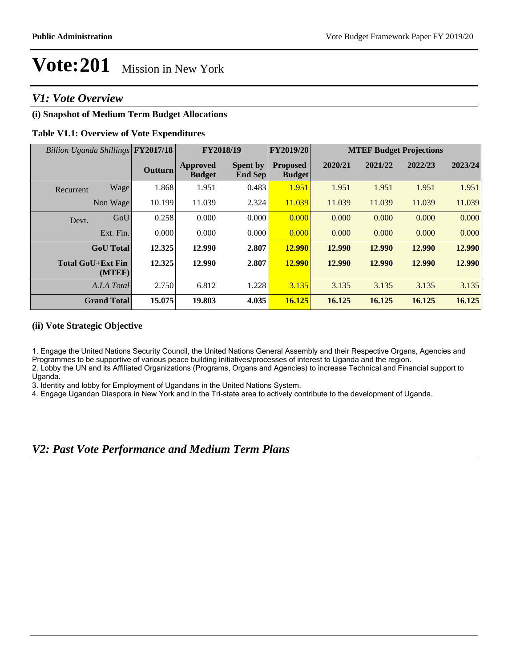# *V1: Vote Overview*

# **(i) Snapshot of Medium Term Budget Allocations**

## **Table V1.1: Overview of Vote Expenditures**

| Billion Uganda Shillings FY2017/18 |                                    |                | FY2018/19                        |                                   | <b>FY2019/20</b>                 | <b>MTEF Budget Projections</b> |         |         |         |
|------------------------------------|------------------------------------|----------------|----------------------------------|-----------------------------------|----------------------------------|--------------------------------|---------|---------|---------|
|                                    |                                    | <b>Outturn</b> | <b>Approved</b><br><b>Budget</b> | <b>Spent by</b><br><b>End Sep</b> | <b>Proposed</b><br><b>Budget</b> | 2020/21                        | 2021/22 | 2022/23 | 2023/24 |
| Recurrent                          | Wage                               | 1.868          | 1.951                            | 0.483                             | 1.951                            | 1.951                          | 1.951   | 1.951   | 1.951   |
|                                    | Non Wage                           | 10.199         | 11.039                           | 2.324                             | 11.039                           | 11.039                         | 11.039  | 11.039  | 11.039  |
| Devt.                              | GoU                                | 0.258          | 0.000                            | 0.000                             | 0.000                            | 0.000                          | 0.000   | 0.000   | 0.000   |
|                                    | Ext. Fin.                          | 0.000          | 0.000                            | 0.000                             | 0.000                            | 0.000                          | 0.000   | 0.000   | 0.000   |
|                                    | <b>GoU</b> Total                   | 12.325         | 12.990                           | 2.807                             | <b>12.990</b>                    | 12.990                         | 12.990  | 12.990  | 12.990  |
|                                    | <b>Total GoU+Ext Fin</b><br>(MTEF) | 12.325         | 12.990                           | 2.807                             | <b>12.990</b>                    | 12.990                         | 12.990  | 12.990  | 12.990  |
|                                    | A.I.A Total                        | 2.750          | 6.812                            | 1.228                             | 3.135                            | 3.135                          | 3.135   | 3.135   | 3.135   |
|                                    | <b>Grand Total</b>                 | 15.075         | 19.803                           | 4.035                             | 16.125                           | 16.125                         | 16.125  | 16.125  | 16.125  |

### **(ii) Vote Strategic Objective**

1. Engage the United Nations Security Council, the United Nations General Assembly and their Respective Organs, Agencies and Programmes to be supportive of various peace building initiatives/processes of interest to Uganda and the region.

2. Lobby the UN and its Affiliated Organizations (Programs, Organs and Agencies) to increase Technical and Financial support to Uganda.

3. Identity and lobby for Employment of Ugandans in the United Nations System.

4. Engage Ugandan Diaspora in New York and in the Tri-state area to actively contribute to the development of Uganda.

*V2: Past Vote Performance and Medium Term Plans*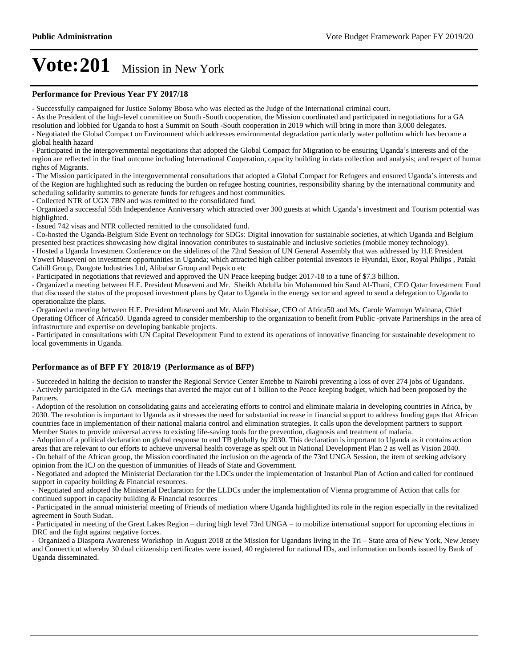#### **Performance for Previous Year FY 2017/18**

- Successfully campaigned for Justice Solomy Bbosa who was elected as the Judge of the International criminal court.

- As the President of the high-level committee on South -South cooperation, the Mission coordinated and participated in negotiations for a GA resolution and lobbied for Uganda to host a Summit on South -South cooperation in 2019 which will bring in more than 3,000 delegates.

- Negotiated the Global Compact on Environment which addresses environmental degradation particularly water pollution which has become a global health hazard

- Participated in the intergovernmental negotiations that adopted the Global Compact for Migration to be ensuring Uganda's interests and of the region are reflected in the final outcome including International Cooperation, capacity building in data collection and analysis; and respect of human rights of Migrants.

- The Mission participated in the intergovernmental consultations that adopted a Global Compact for Refugees and ensured Uganda's interests and of the Region are highlighted such as reducing the burden on refugee hosting countries, responsibility sharing by the international community and scheduling solidarity summits to generate funds for refugees and host communities.

- Collected NTR of UGX 7BN and was remitted to the consolidated fund.

- Organized a successful 55th Independence Anniversary which attracted over 300 guests at which Uganda's investment and Tourism potential was highlighted.

- Issued 742 visas and NTR collected remitted to the consolidated fund.

- Co-hosted the Uganda-Belgium Side Event on technology for SDGs: Digital innovation for sustainable societies, at which Uganda and Belgium presented best practices showcasing how digital innovation contributes to sustainable and inclusive societies (mobile money technology).

- Hosted a Uganda Investment Conference on the sidelines of the 72nd Session of UN General Assembly that was addressed by H.E President Yoweri Museveni on investment opportunities in Uganda; which attracted high caliber potential investors ie Hyundai, Exor, Royal Philips , Pataki Cahill Group, Dangote Industries Ltd, Alibabar Group and Pepsico etc

- Participated in negotiations that reviewed and approved the UN Peace keeping budget 2017-18 to a tune of \$7.3 billion.

- Organized a meeting between H.E. President Museveni and Mr. Sheikh Abdulla bin Mohammed bin Saud Al-Thani, CEO Qatar Investment Fund that discussed the status of the proposed investment plans by Qatar to Uganda in the energy sector and agreed to send a delegation to Uganda to operationalize the plans.

- Organized a meeting between H.E. President Museveni and Mr. Alain Ebobisse, CEO of Africa50 and Ms. Carole Wamuyu Wainana, Chief Operating Officer of Africa50. Uganda agreed to consider membership to the organization to benefit from Public -private Partnerships in the area of infrastructure and expertise on developing bankable projects.

- Participated in consultations with UN Capital Development Fund to extend its operations of innovative financing for sustainable development to local governments in Uganda.

#### **Performance as of BFP FY 2018/19 (Performance as of BFP)**

- Succeeded in halting the decision to transfer the Regional Service Center Entebbe to Nairobi preventing a loss of over 274 jobs of Ugandans. - Actively participated in the GA meetings that averted the major cut of 1 billion to the Peace keeping budget, which had been proposed by the Partners.

- Adoption of the resolution on consolidating gains and accelerating efforts to control and eliminate malaria in developing countries in Africa, by 2030. The resolution is important to Uganda as it stresses the need for substantial increase in financial support to address funding gaps that African countries face in implementation of their national malaria control and elimination strategies. It calls upon the development partners to support Member States to provide universal access to existing life-saving tools for the prevention, diagnosis and treatment of malaria.

- Adoption of a political declaration on global response to end TB globally by 2030. This declaration is important to Uganda as it contains action areas that are relevant to our efforts to achieve universal health coverage as spelt out in National Development Plan 2 as well as Vision 2040. - On behalf of the African group, the Mission coordinated the inclusion on the agenda of the 73rd UNGA Session, the item of seeking advisory opinion from the ICJ on the question of immunities of Heads of State and Government.

- Negotiated and adopted the Ministerial Declaration for the LDCs under the implementation of Instanbul Plan of Action and called for continued support in capacity building & Financial resources.

- Negotiated and adopted the Ministerial Declaration for the LLDCs under the implementation of Vienna programme of Action that calls for continued support in capacity building & Financial resources

- Participated in the annual ministerial meeting of Friends of mediation where Uganda highlighted its role in the region especially in the revitalized agreement in South Sudan.

- Participated in meeting of the Great Lakes Region - during high level 73rd UNGA - to mobilize international support for upcoming elections in DRC and the fight against negative forces.

- Organized a Diaspora Awareness Workshop in August 2018 at the Mission for Ugandans living in the Tri – State area of New York, New Jersey and Connecticut whereby 30 dual citizenship certificates were issued, 40 registered for national IDs, and information on bonds issued by Bank of Uganda disseminated.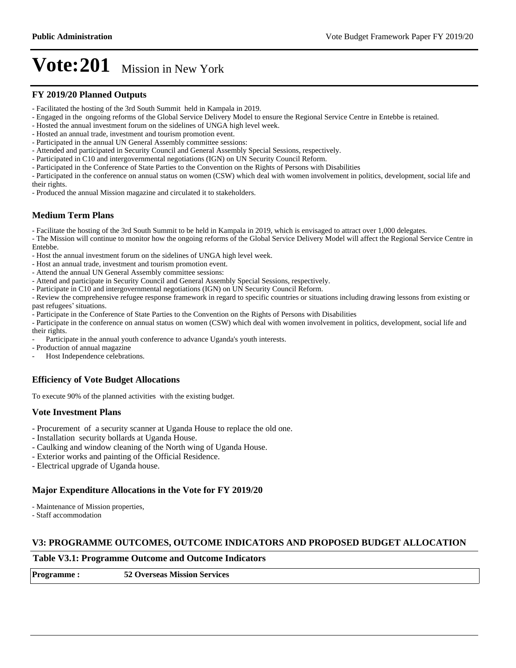#### **FY 2019/20 Planned Outputs**

- Facilitated the hosting of the 3rd South Summit held in Kampala in 2019.
- Engaged in the ongoing reforms of the Global Service Delivery Model to ensure the Regional Service Centre in Entebbe is retained.
- Hosted the annual investment forum on the sidelines of UNGA high level week.
- Hosted an annual trade, investment and tourism promotion event.
- Participated in the annual UN General Assembly committee sessions:
- Attended and participated in Security Council and General Assembly Special Sessions, respectively.
- Participated in C10 and intergovernmental negotiations (IGN) on UN Security Council Reform.
- Participated in the Conference of State Parties to the Convention on the Rights of Persons with Disabilities
- Participated in the conference on annual status on women (CSW) which deal with women involvement in politics, development, social life and their rights.
- Produced the annual Mission magazine and circulated it to stakeholders.

### **Medium Term Plans**

- Facilitate the hosting of the 3rd South Summit to be held in Kampala in 2019, which is envisaged to attract over 1,000 delegates.

- The Mission will continue to monitor how the ongoing reforms of the Global Service Delivery Model will affect the Regional Service Centre in Entebbe.

- Host the annual investment forum on the sidelines of UNGA high level week.

- Host an annual trade, investment and tourism promotion event.
- Attend the annual UN General Assembly committee sessions:
- Attend and participate in Security Council and General Assembly Special Sessions, respectively.
- Participate in C10 and intergovernmental negotiations (IGN) on UN Security Council Reform.

- Review the comprehensive refugee response framework in regard to specific countries or situations including drawing lessons from existing or past refugees' situations.

- Participate in the Conference of State Parties to the Convention on the Rights of Persons with Disabilities

- Participate in the conference on annual status on women (CSW) which deal with women involvement in politics, development, social life and their rights.

Participate in the annual youth conference to advance Uganda's youth interests.

- Production of annual magazine
- Host Independence celebrations.

### **Efficiency of Vote Budget Allocations**

To execute 90% of the planned activities with the existing budget.

### **Vote Investment Plans**

- Procurement of a security scanner at Uganda House to replace the old one.
- Installation security bollards at Uganda House.
- Caulking and window cleaning of the North wing of Uganda House.
- Exterior works and painting of the Official Residence.
- Electrical upgrade of Uganda house.

#### **Major Expenditure Allocations in the Vote for FY 2019/20**

- Maintenance of Mission properties,

- Staff accommodation

#### **V3: PROGRAMME OUTCOMES, OUTCOME INDICATORS AND PROPOSED BUDGET ALLOCATION**

**Table V3.1: Programme Outcome and Outcome Indicators**

**Programme : 52 Overseas Mission Services**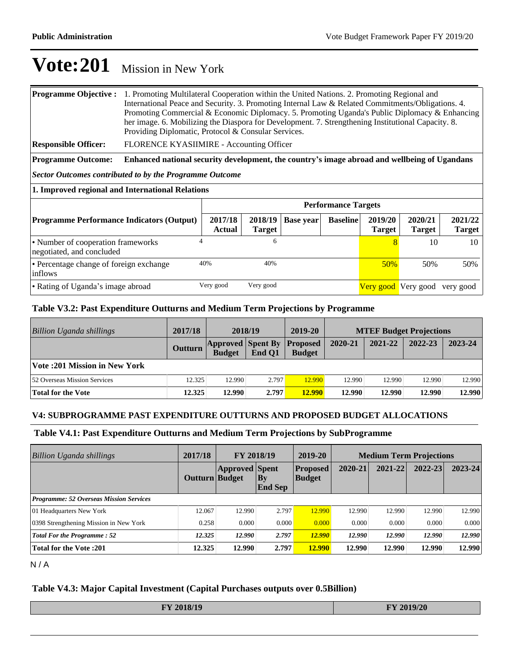| <b>Programme Objective:</b> 1. Promoting Multilateral Cooperation within the United Nations. 2. Promoting Regional and |  |  |  |  |  |  |
|------------------------------------------------------------------------------------------------------------------------|--|--|--|--|--|--|
| International Peace and Security. 3. Promoting Internal Law & Related Commitments/Obligations. 4.                      |  |  |  |  |  |  |
| Promoting Commercial & Economic Diplomacy. 5. Promoting Uganda's Public Diplomacy & Enhancing                          |  |  |  |  |  |  |
| her image. 6. Mobilizing the Diaspora for Development. 7. Strengthening Institutional Capacity. 8.                     |  |  |  |  |  |  |
| Providing Diplomatic, Protocol & Consular Services.                                                                    |  |  |  |  |  |  |
|                                                                                                                        |  |  |  |  |  |  |

**Responsible Officer:** FLORENCE KYASIIMIRE - Accounting Officer

**Programme Outcome:** Enhanced national security development, the country's image abroad and wellbeing of Ugandans

*Sector Outcomes contributed to by the Programme Outcome*

| 1. Improved regional and International Relations                |                            |                          |           |                 |                          |                               |                          |  |  |  |
|-----------------------------------------------------------------|----------------------------|--------------------------|-----------|-----------------|--------------------------|-------------------------------|--------------------------|--|--|--|
|                                                                 | <b>Performance Targets</b> |                          |           |                 |                          |                               |                          |  |  |  |
| <b>Programme Performance Indicators (Output)</b>                | 2017/18<br><b>Actual</b>   | 2018/19<br><b>Target</b> | Base year | <b>Baseline</b> | 2019/20<br><b>Target</b> | 2020/21<br><b>Target</b>      | 2021/22<br><b>Target</b> |  |  |  |
| • Number of cooperation frameworks<br>negotiated, and concluded | 4                          | 6                        |           |                 | 8                        | 10                            | 10                       |  |  |  |
| • Percentage change of foreign exchange<br>inflows              | 40%                        | 40%                      |           |                 | 50%                      | 50%                           | 50%                      |  |  |  |
| • Rating of Uganda's image abroad                               | Very good                  | Very good                |           |                 |                          | Very good Very good very good |                          |  |  |  |

## **Table V3.2: Past Expenditure Outturns and Medium Term Projections by Programme**

| <b>Billion Uganda shillings</b>     | 2017/18 | 2018/19                                   |        | 2019-20                          | <b>MTEF Budget Projections</b> |         |         |         |
|-------------------------------------|---------|-------------------------------------------|--------|----------------------------------|--------------------------------|---------|---------|---------|
|                                     | Outturn | <b>Approved Spent By</b><br><b>Budget</b> | End O1 | <b>Proposed</b><br><b>Budget</b> | 2020-21                        | 2021-22 | 2022-23 | 2023-24 |
| Vote :201 Mission in New York       |         |                                           |        |                                  |                                |         |         |         |
| <b>52 Overseas Mission Services</b> | 12.325  | 12.990                                    | 2.797  | 12.990                           | 12.990                         | 12.990  | 12.990  | 12.990  |
| Total for the Vote                  | 12.325  | 12.990                                    | 2.797  | <b>12.990</b>                    | 12.990                         | 12.990  | 12.990  | 12.990  |

### **V4: SUBPROGRAMME PAST EXPENDITURE OUTTURNS AND PROPOSED BUDGET ALLOCATIONS**

#### **Table V4.1: Past Expenditure Outturns and Medium Term Projections by SubProgramme**

| <b>Billion Uganda shillings</b>                | 2017/18        | FY 2018/19            |                          | 2019-20                          | <b>Medium Term Projections</b> |         |             |         |
|------------------------------------------------|----------------|-----------------------|--------------------------|----------------------------------|--------------------------------|---------|-------------|---------|
|                                                | Outturn Budget | <b>Approved Spent</b> | $ $ By<br><b>End Sep</b> | <b>Proposed</b><br><b>Budget</b> | 2020-21                        | 2021-22 | $2022 - 23$ | 2023-24 |
| <b>Programme: 52 Overseas Mission Services</b> |                |                       |                          |                                  |                                |         |             |         |
| 01 Headquarters New York                       | 12.067         | 12.990                | 2.797                    | 12.990                           | 12.990                         | 12.990  | 12.990      | 12.990  |
| 0398 Strengthening Mission in New York         | 0.258          | 0.000                 | 0.000                    | 0.000                            | 0.000                          | 0.000   | 0.000       | 0.000   |
| <b>Total For the Programme: 52</b>             | 12.325         | 12.990                | 2.797                    | 12.990                           | 12.990                         | 12.990  | 12.990      | 12.990  |
| <b>Total for the Vote: 201</b>                 | 12.325         | 12.990                | 2.797                    | 12.990                           | 12.990                         | 12.990  | 12.990      | 12.990  |

N / A

#### **Table V4.3: Major Capital Investment (Capital Purchases outputs over 0.5Billion)**

| FY 2018/19 | FY 2019/20 |
|------------|------------|
|            |            |